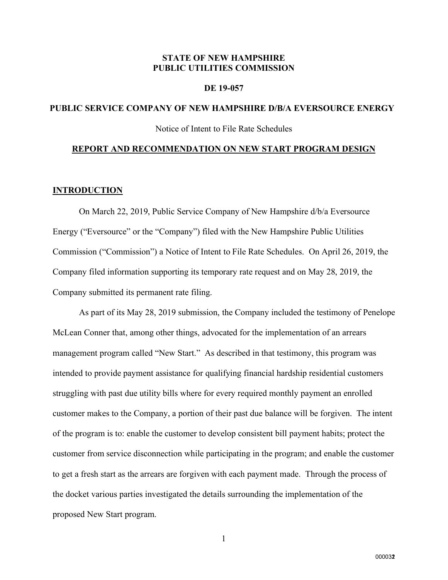# **STATE OF NEW HAMPSHIRE PUBLIC UTILITIES COMMISSION**

#### **DE 19-057**

# **PUBLIC SERVICE COMPANY OF NEW HAMPSHIRE D/B/A EVERSOURCE ENERGY**

Notice of Intent to File Rate Schedules

#### **REPORT AND RECOMMENDATION ON NEW START PROGRAM DESIGN**

#### **INTRODUCTION**

On March 22, 2019, Public Service Company of New Hampshire d/b/a Eversource Energy ("Eversource" or the "Company") filed with the New Hampshire Public Utilities Commission ("Commission") a Notice of Intent to File Rate Schedules. On April 26, 2019, the Company filed information supporting its temporary rate request and on May 28, 2019, the Company submitted its permanent rate filing.

As part of its May 28, 2019 submission, the Company included the testimony of Penelope McLean Conner that, among other things, advocated for the implementation of an arrears management program called "New Start." As described in that testimony, this program was intended to provide payment assistance for qualifying financial hardship residential customers struggling with past due utility bills where for every required monthly payment an enrolled customer makes to the Company, a portion of their past due balance will be forgiven. The intent of the program is to: enable the customer to develop consistent bill payment habits; protect the customer from service disconnection while participating in the program; and enable the customer to get a fresh start as the arrears are forgiven with each payment made. Through the process of the docket various parties investigated the details surrounding the implementation of the proposed New Start program.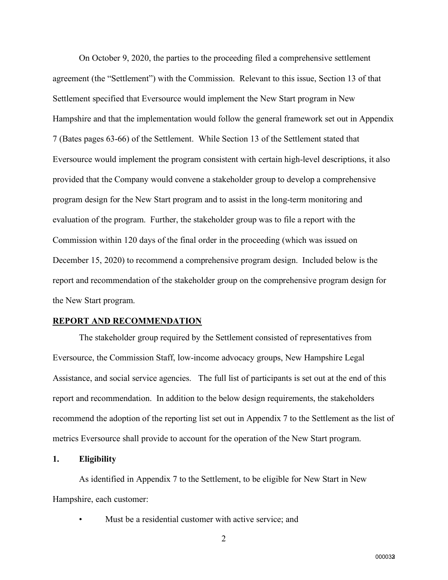On October 9, 2020, the parties to the proceeding filed a comprehensive settlement agreement (the "Settlement") with the Commission. Relevant to this issue, Section 13 of that Settlement specified that Eversource would implement the New Start program in New Hampshire and that the implementation would follow the general framework set out in Appendix 7 (Bates pages 63-66) of the Settlement. While Section 13 of the Settlement stated that Eversource would implement the program consistent with certain high-level descriptions, it also provided that the Company would convene a stakeholder group to develop a comprehensive program design for the New Start program and to assist in the long-term monitoring and evaluation of the program. Further, the stakeholder group was to file a report with the Commission within 120 days of the final order in the proceeding (which was issued on December 15, 2020) to recommend a comprehensive program design. Included below is the report and recommendation of the stakeholder group on the comprehensive program design for the New Start program.

#### **REPORT AND RECOMMENDATION**

The stakeholder group required by the Settlement consisted of representatives from Eversource, the Commission Staff, low-income advocacy groups, New Hampshire Legal Assistance, and social service agencies. The full list of participants is set out at the end of this report and recommendation. In addition to the below design requirements, the stakeholders recommend the adoption of the reporting list set out in Appendix 7 to the Settlement as the list of metrics Eversource shall provide to account for the operation of the New Start program.

# **1. Eligibility**

As identified in Appendix 7 to the Settlement, to be eligible for New Start in New Hampshire, each customer:

- Must be a residential customer with active service; and
	- 2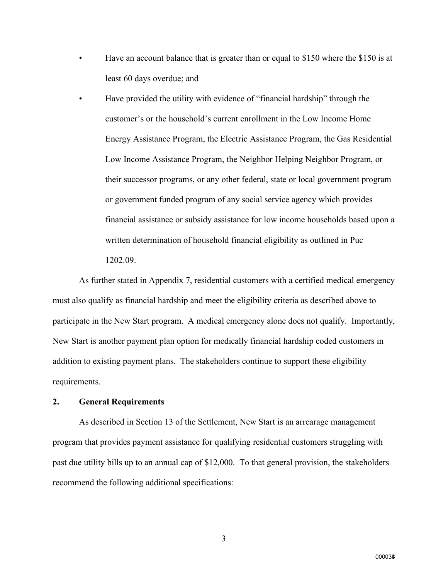- Have an account balance that is greater than or equal to \$150 where the \$150 is at least 60 days overdue; and
- Have provided the utility with evidence of "financial hardship" through the customer's or the household's current enrollment in the Low Income Home Energy Assistance Program, the Electric Assistance Program, the Gas Residential Low Income Assistance Program, the Neighbor Helping Neighbor Program, or their successor programs, or any other federal, state or local government program or government funded program of any social service agency which provides financial assistance or subsidy assistance for low income households based upon a written determination of household financial eligibility as outlined in Puc 1202.09.

As further stated in Appendix 7, residential customers with a certified medical emergency must also qualify as financial hardship and meet the eligibility criteria as described above to participate in the New Start program. A medical emergency alone does not qualify. Importantly, New Start is another payment plan option for medically financial hardship coded customers in addition to existing payment plans. The stakeholders continue to support these eligibility requirements.

# **2. General Requirements**

As described in Section 13 of the Settlement, New Start is an arrearage management program that provides payment assistance for qualifying residential customers struggling with past due utility bills up to an annual cap of \$12,000. To that general provision, the stakeholders recommend the following additional specifications: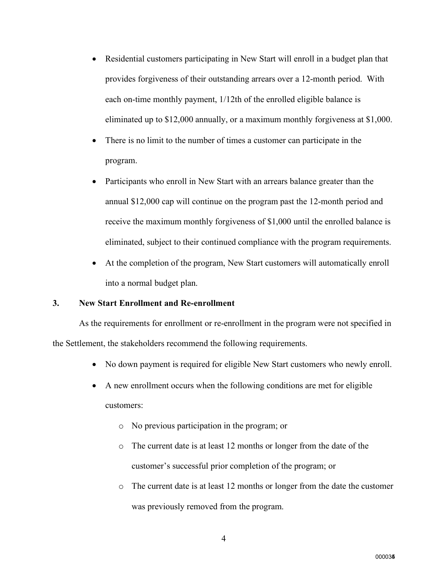- Residential customers participating in New Start will enroll in a budget plan that provides forgiveness of their outstanding arrears over a 12-month period. With each on-time monthly payment, 1/12th of the enrolled eligible balance is eliminated up to \$12,000 annually, or a maximum monthly forgiveness at \$1,000.
- There is no limit to the number of times a customer can participate in the program.
- Participants who enroll in New Start with an arrears balance greater than the annual \$12,000 cap will continue on the program past the 12-month period and receive the maximum monthly forgiveness of \$1,000 until the enrolled balance is eliminated, subject to their continued compliance with the program requirements.
- At the completion of the program, New Start customers will automatically enroll into a normal budget plan.

# **3. New Start Enrollment and Re-enrollment**

As the requirements for enrollment or re-enrollment in the program were not specified in the Settlement, the stakeholders recommend the following requirements.

- No down payment is required for eligible New Start customers who newly enroll.
- A new enrollment occurs when the following conditions are met for eligible customers:
	- o No previous participation in the program; or
	- o The current date is at least 12 months or longer from the date of the customer's successful prior completion of the program; or
	- o The current date is at least 12 months or longer from the date the customer was previously removed from the program.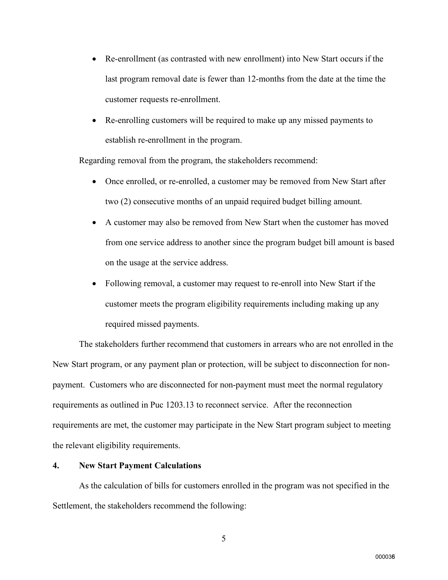- Re-enrollment (as contrasted with new enrollment) into New Start occurs if the last program removal date is fewer than 12-months from the date at the time the customer requests re-enrollment.
- Re-enrolling customers will be required to make up any missed payments to establish re-enrollment in the program.

Regarding removal from the program, the stakeholders recommend:

- Once enrolled, or re-enrolled, a customer may be removed from New Start after two (2) consecutive months of an unpaid required budget billing amount.
- A customer may also be removed from New Start when the customer has moved from one service address to another since the program budget bill amount is based on the usage at the service address.
- Following removal, a customer may request to re-enroll into New Start if the customer meets the program eligibility requirements including making up any required missed payments.

The stakeholders further recommend that customers in arrears who are not enrolled in the New Start program, or any payment plan or protection, will be subject to disconnection for nonpayment. Customers who are disconnected for non-payment must meet the normal regulatory requirements as outlined in Puc 1203.13 to reconnect service. After the reconnection requirements are met, the customer may participate in the New Start program subject to meeting the relevant eligibility requirements.

#### **4. New Start Payment Calculations**

As the calculation of bills for customers enrolled in the program was not specified in the Settlement, the stakeholders recommend the following: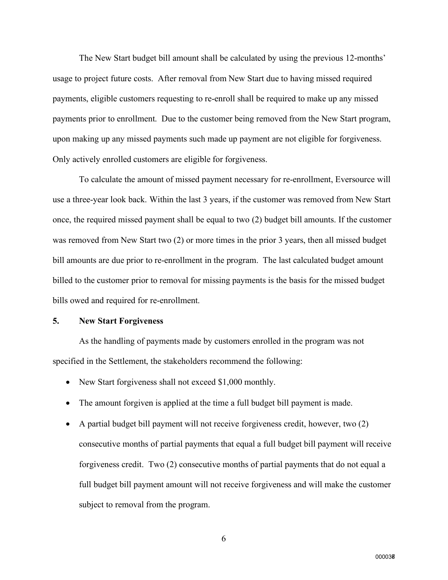The New Start budget bill amount shall be calculated by using the previous 12-months' usage to project future costs. After removal from New Start due to having missed required payments, eligible customers requesting to re-enroll shall be required to make up any missed payments prior to enrollment. Due to the customer being removed from the New Start program, upon making up any missed payments such made up payment are not eligible for forgiveness. Only actively enrolled customers are eligible for forgiveness.

To calculate the amount of missed payment necessary for re-enrollment, Eversource will use a three-year look back. Within the last 3 years, if the customer was removed from New Start once, the required missed payment shall be equal to two (2) budget bill amounts. If the customer was removed from New Start two (2) or more times in the prior 3 years, then all missed budget bill amounts are due prior to re-enrollment in the program. The last calculated budget amount billed to the customer prior to removal for missing payments is the basis for the missed budget bills owed and required for re-enrollment.

#### **5. New Start Forgiveness**

As the handling of payments made by customers enrolled in the program was not specified in the Settlement, the stakeholders recommend the following:

- New Start forgiveness shall not exceed \$1,000 monthly.
- The amount forgiven is applied at the time a full budget bill payment is made.
- A partial budget bill payment will not receive forgiveness credit, however, two (2) consecutive months of partial payments that equal a full budget bill payment will receive forgiveness credit. Two (2) consecutive months of partial payments that do not equal a full budget bill payment amount will not receive forgiveness and will make the customer subject to removal from the program.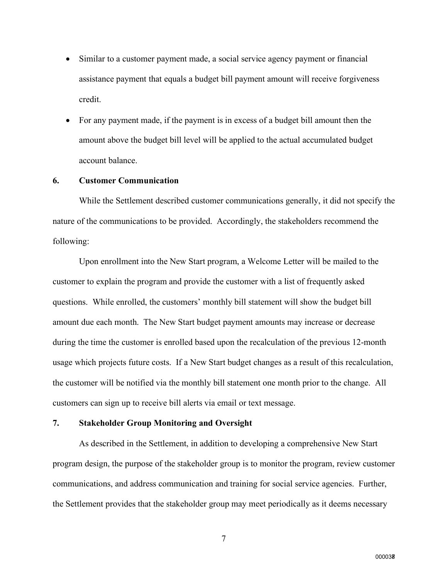- Similar to a customer payment made, a social service agency payment or financial assistance payment that equals a budget bill payment amount will receive forgiveness credit.
- For any payment made, if the payment is in excess of a budget bill amount then the amount above the budget bill level will be applied to the actual accumulated budget account balance.

# **6. Customer Communication**

While the Settlement described customer communications generally, it did not specify the nature of the communications to be provided. Accordingly, the stakeholders recommend the following:

Upon enrollment into the New Start program, a Welcome Letter will be mailed to the customer to explain the program and provide the customer with a list of frequently asked questions. While enrolled, the customers' monthly bill statement will show the budget bill amount due each month. The New Start budget payment amounts may increase or decrease during the time the customer is enrolled based upon the recalculation of the previous 12-month usage which projects future costs. If a New Start budget changes as a result of this recalculation, the customer will be notified via the monthly bill statement one month prior to the change. All customers can sign up to receive bill alerts via email or text message.

#### **7. Stakeholder Group Monitoring and Oversight**

As described in the Settlement, in addition to developing a comprehensive New Start program design, the purpose of the stakeholder group is to monitor the program, review customer communications, and address communication and training for social service agencies. Further, the Settlement provides that the stakeholder group may meet periodically as it deems necessary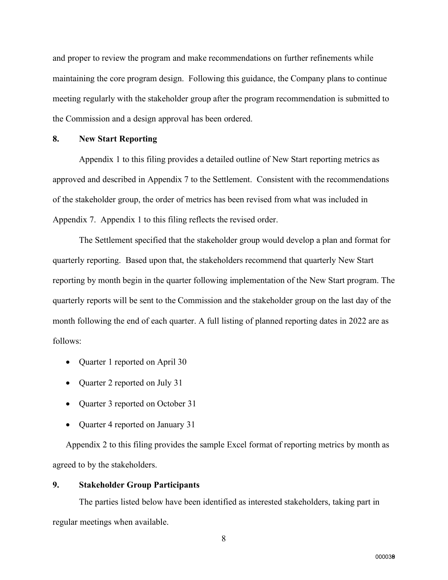and proper to review the program and make recommendations on further refinements while maintaining the core program design. Following this guidance, the Company plans to continue meeting regularly with the stakeholder group after the program recommendation is submitted to the Commission and a design approval has been ordered.

## **8. New Start Reporting**

Appendix 1 to this filing provides a detailed outline of New Start reporting metrics as approved and described in Appendix 7 to the Settlement. Consistent with the recommendations of the stakeholder group, the order of metrics has been revised from what was included in Appendix 7. Appendix 1 to this filing reflects the revised order.

The Settlement specified that the stakeholder group would develop a plan and format for quarterly reporting. Based upon that, the stakeholders recommend that quarterly New Start reporting by month begin in the quarter following implementation of the New Start program. The quarterly reports will be sent to the Commission and the stakeholder group on the last day of the month following the end of each quarter. A full listing of planned reporting dates in 2022 are as follows:

- Quarter 1 reported on April 30
- Quarter 2 reported on July 31
- Quarter 3 reported on October 31
- Quarter 4 reported on January 31

Appendix 2 to this filing provides the sample Excel format of reporting metrics by month as agreed to by the stakeholders.

# **9. Stakeholder Group Participants**

The parties listed below have been identified as interested stakeholders, taking part in regular meetings when available.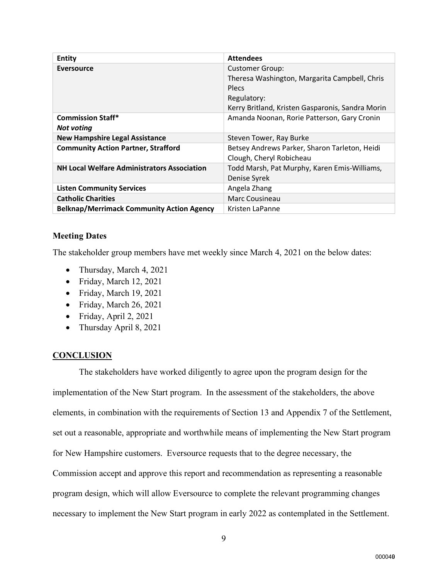| Entity                                             | <b>Attendees</b>                                                                                                                                           |
|----------------------------------------------------|------------------------------------------------------------------------------------------------------------------------------------------------------------|
| <b>Eversource</b>                                  | <b>Customer Group:</b><br>Theresa Washington, Margarita Campbell, Chris<br><b>Plecs</b><br>Regulatory:<br>Kerry Britland, Kristen Gasparonis, Sandra Morin |
| <b>Commission Staff*</b><br><b>Not voting</b>      | Amanda Noonan, Rorie Patterson, Gary Cronin                                                                                                                |
| <b>New Hampshire Legal Assistance</b>              | Steven Tower, Ray Burke                                                                                                                                    |
| <b>Community Action Partner, Strafford</b>         | Betsey Andrews Parker, Sharon Tarleton, Heidi<br>Clough, Cheryl Robicheau                                                                                  |
| <b>NH Local Welfare Administrators Association</b> | Todd Marsh, Pat Murphy, Karen Emis-Williams,<br>Denise Syrek                                                                                               |
| <b>Listen Community Services</b>                   | Angela Zhang                                                                                                                                               |
| <b>Catholic Charities</b>                          | Marc Cousineau                                                                                                                                             |
| <b>Belknap/Merrimack Community Action Agency</b>   | Kristen LaPanne                                                                                                                                            |

# **Meeting Dates**

The stakeholder group members have met weekly since March 4, 2021 on the below dates:

- Thursday, March 4, 2021
- Friday, March 12, 2021
- Friday, March 19, 2021
- Friday, March 26, 2021
- Friday, April 2, 2021
- Thursday April 8, 2021

# **CONCLUSION**

The stakeholders have worked diligently to agree upon the program design for the implementation of the New Start program. In the assessment of the stakeholders, the above elements, in combination with the requirements of Section 13 and Appendix 7 of the Settlement, set out a reasonable, appropriate and worthwhile means of implementing the New Start program for New Hampshire customers. Eversource requests that to the degree necessary, the Commission accept and approve this report and recommendation as representing a reasonable program design, which will allow Eversource to complete the relevant programming changes necessary to implement the New Start program in early 2022 as contemplated in the Settlement.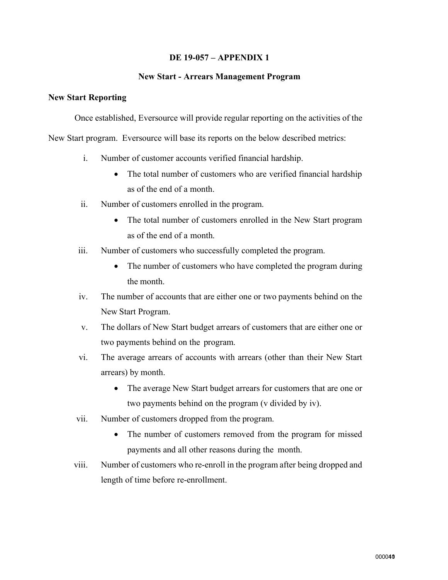# **DE 19-057 – APPENDIX 1**

## **New Start - Arrears Management Program**

#### **New Start Reporting**

Once established, Eversource will provide regular reporting on the activities of the

New Start program. Eversource will base its reports on the below described metrics:

- i. Number of customer accounts verified financial hardship.
	- The total number of customers who are verified financial hardship as of the end of a month.
- ii. Number of customers enrolled in the program.
	- The total number of customers enrolled in the New Start program as of the end of a month.
- iii. Number of customers who successfully completed the program.
	- The number of customers who have completed the program during the month.
- iv. The number of accounts that are either one or two payments behind on the New Start Program.
- v. The dollars of New Start budget arrears of customers that are either one or two payments behind on the program.
- vi. The average arrears of accounts with arrears (other than their New Start arrears) by month.
	- The average New Start budget arrears for customers that are one or two payments behind on the program (v divided by iv).
- vii. Number of customers dropped from the program.
	- The number of customers removed from the program for missed payments and all other reasons during the month.
- viii. Number of customers who re-enroll in the program after being dropped and length of time before re-enrollment.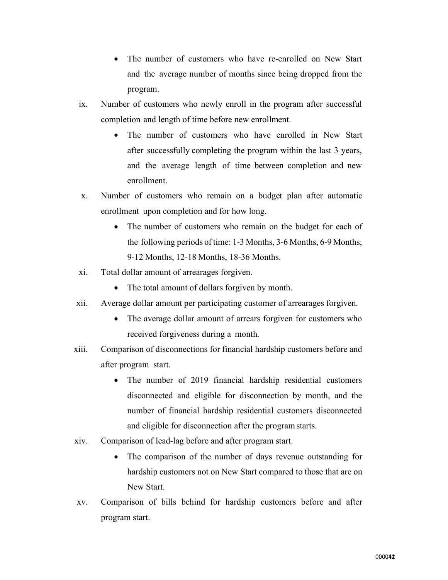- The number of customers who have re-enrolled on New Start and the average number of months since being dropped from the program.
- ix. Number of customers who newly enroll in the program after successful completion and length of time before new enrollment.
	- The number of customers who have enrolled in New Start after successfully completing the program within the last 3 years, and the average length of time between completion and new enrollment.
- x. Number of customers who remain on a budget plan after automatic enrollment upon completion and for how long.
	- The number of customers who remain on the budget for each of the following periods of time: 1-3 Months, 3-6 Months, 6-9 Months, 9-12 Months, 12-18 Months, 18-36 Months.
- xi. Total dollar amount of arrearages forgiven.
	- The total amount of dollars forgiven by month.
- xii. Average dollar amount per participating customer of arrearages forgiven.
	- The average dollar amount of arrears forgiven for customers who received forgiveness during a month.
- xiii. Comparison of disconnections for financial hardship customers before and after program start.
	- The number of 2019 financial hardship residential customers disconnected and eligible for disconnection by month, and the number of financial hardship residential customers disconnected and eligible for disconnection after the program starts.
- xiv. Comparison of lead-lag before and after program start.
	- The comparison of the number of days revenue outstanding for hardship customers not on New Start compared to those that are on New Start.
- xv. Comparison of bills behind for hardship customers before and after program start.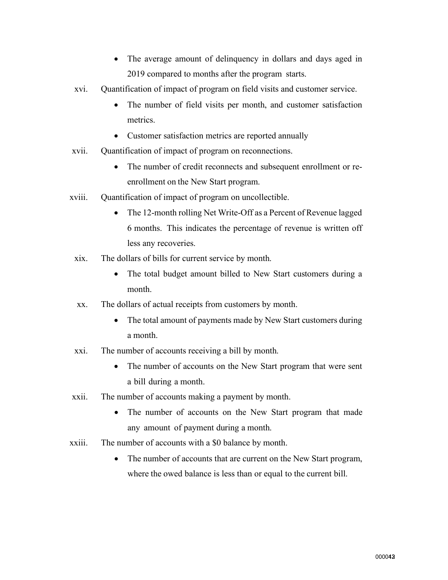- The average amount of delinquency in dollars and days aged in 2019 compared to months after the program starts.
- xvi. Quantification of impact of program on field visits and customer service.
	- The number of field visits per month, and customer satisfaction metrics.
	- Customer satisfaction metrics are reported annually
- xvii. Quantification of impact of program on reconnections.
	- The number of credit reconnects and subsequent enrollment or reenrollment on the New Start program.
- xviii. Quantification of impact of program on uncollectible.
	- The 12-month rolling Net Write-Off as a Percent of Revenue lagged 6 months. This indicates the percentage of revenue is written off less any recoveries.
	- xix. The dollars of bills for current service by month.
		- The total budget amount billed to New Start customers during a month.
	- xx. The dollars of actual receipts from customers by month.
		- The total amount of payments made by New Start customers during a month.
	- xxi. The number of accounts receiving a bill by month.
		- The number of accounts on the New Start program that were sent a bill during a month.
- xxii. The number of accounts making a payment by month.
	- The number of accounts on the New Start program that made any amount of payment during a month.
- xxiii. The number of accounts with a \$0 balance by month.
	- The number of accounts that are current on the New Start program, where the owed balance is less than or equal to the current bill.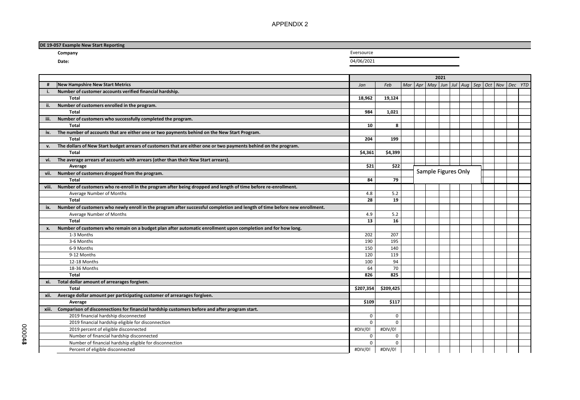APPENDIX 2

| DE 19-057 Example New Start Reporting |            |
|---------------------------------------|------------|
| Company                               | Eversource |
| Date:                                 | 04/06/2021 |
|                                       |            |

|      |                                                                                                                               | 2021<br>Mar   Apr   May   Jun   Jul   Aug   Sep   Oct   Nov   Dec YTD |             |  |  |                     |  |  |  |  |  |  |  |
|------|-------------------------------------------------------------------------------------------------------------------------------|-----------------------------------------------------------------------|-------------|--|--|---------------------|--|--|--|--|--|--|--|
|      | New Hampshire New Start Metrics                                                                                               | Jan                                                                   | Feb         |  |  |                     |  |  |  |  |  |  |  |
|      | Number of customer accounts verified financial hardship.                                                                      |                                                                       |             |  |  |                     |  |  |  |  |  |  |  |
|      | Total                                                                                                                         | 18,962                                                                | 19,124      |  |  |                     |  |  |  |  |  |  |  |
| ii.  | Number of customers enrolled in the program.                                                                                  |                                                                       |             |  |  |                     |  |  |  |  |  |  |  |
|      | Total                                                                                                                         | 984                                                                   | 1.021       |  |  |                     |  |  |  |  |  |  |  |
| iii. | Number of customers who successfully completed the program.                                                                   |                                                                       |             |  |  |                     |  |  |  |  |  |  |  |
|      | Total                                                                                                                         | 10                                                                    | 8           |  |  |                     |  |  |  |  |  |  |  |
| iv.  | The number of accounts that are either one or two payments behind on the New Start Program.                                   |                                                                       |             |  |  |                     |  |  |  |  |  |  |  |
|      | Total                                                                                                                         | 204                                                                   | 199         |  |  |                     |  |  |  |  |  |  |  |
| v.   | The dollars of New Start budget arrears of customers that are either one or two payments behind on the program.               |                                                                       |             |  |  |                     |  |  |  |  |  |  |  |
|      | <b>Total</b>                                                                                                                  | \$4,361                                                               | \$4,399     |  |  |                     |  |  |  |  |  |  |  |
| vi.  | The average arrears of accounts with arrears (other than their New Start arrears).                                            |                                                                       |             |  |  |                     |  |  |  |  |  |  |  |
|      | Average                                                                                                                       | \$21                                                                  | \$22        |  |  |                     |  |  |  |  |  |  |  |
| vii. | Number of customers dropped from the program.                                                                                 |                                                                       |             |  |  | Sample Figures Only |  |  |  |  |  |  |  |
|      | <b>Total</b>                                                                                                                  | 84                                                                    | 79          |  |  |                     |  |  |  |  |  |  |  |
|      | viii. Number of customers who re-enroll in the program after being dropped and length of time before re-enrollment.           |                                                                       |             |  |  |                     |  |  |  |  |  |  |  |
|      | Average Number of Months                                                                                                      | 4.8                                                                   | 5.2         |  |  |                     |  |  |  |  |  |  |  |
|      | <b>Total</b>                                                                                                                  | 28                                                                    | 19          |  |  |                     |  |  |  |  |  |  |  |
|      | ix. Number of customers who newly enroll in the program after successful completion and length of time before new enrollment. |                                                                       |             |  |  |                     |  |  |  |  |  |  |  |
|      | Average Number of Months                                                                                                      | 4.9                                                                   | 5.2         |  |  |                     |  |  |  |  |  |  |  |
|      | Total                                                                                                                         | 13                                                                    | 16          |  |  |                     |  |  |  |  |  |  |  |
| x.   | Number of customers who remain on a budget plan after automatic enrollment upon completion and for how long.                  |                                                                       |             |  |  |                     |  |  |  |  |  |  |  |
|      | 1-3 Months                                                                                                                    | 202                                                                   | 207         |  |  |                     |  |  |  |  |  |  |  |
|      | 3-6 Months                                                                                                                    | 190                                                                   | 195         |  |  |                     |  |  |  |  |  |  |  |
|      | 6-9 Months                                                                                                                    | 150                                                                   | 140         |  |  |                     |  |  |  |  |  |  |  |
|      | 9-12 Months                                                                                                                   | 120                                                                   | 119         |  |  |                     |  |  |  |  |  |  |  |
|      | 12-18 Months                                                                                                                  | 100                                                                   | 94          |  |  |                     |  |  |  |  |  |  |  |
|      | 18-36 Months                                                                                                                  | 64                                                                    | 70          |  |  |                     |  |  |  |  |  |  |  |
|      | <b>Total</b>                                                                                                                  | 826                                                                   | 825         |  |  |                     |  |  |  |  |  |  |  |
| xi.  | Total dollar amount of arrearages forgiven.                                                                                   |                                                                       |             |  |  |                     |  |  |  |  |  |  |  |
|      | Total                                                                                                                         | \$207,354                                                             | \$209,425   |  |  |                     |  |  |  |  |  |  |  |
|      | xii. Average dollar amount per participating customer of arrearages forgiven.                                                 |                                                                       |             |  |  |                     |  |  |  |  |  |  |  |
|      | Average                                                                                                                       | \$109                                                                 | \$117       |  |  |                     |  |  |  |  |  |  |  |
|      | xiii. Comparison of disconnections for financial hardship customers before and after program start.                           |                                                                       |             |  |  |                     |  |  |  |  |  |  |  |
|      | 2019 financial hardship disconnected                                                                                          | $\mathbf 0$                                                           | $\mathbf 0$ |  |  |                     |  |  |  |  |  |  |  |
|      | 2019 financial hardship eligible for disconnection                                                                            | $\Omega$                                                              | $\Omega$    |  |  |                     |  |  |  |  |  |  |  |
|      | 2019 percent of eligible disconnected                                                                                         | #DIV/0!                                                               | #DIV/0!     |  |  |                     |  |  |  |  |  |  |  |
|      | Number of financial hardship disconnected                                                                                     | $\mathbf 0$                                                           | $\mathbf 0$ |  |  |                     |  |  |  |  |  |  |  |
|      | Number of financial hardship eligible for disconnection                                                                       | $\mathbf 0$                                                           | $\Omega$    |  |  |                     |  |  |  |  |  |  |  |
|      | Percent of eligible disconnected                                                                                              | #DIV/0!                                                               | #DIV/0!     |  |  |                     |  |  |  |  |  |  |  |